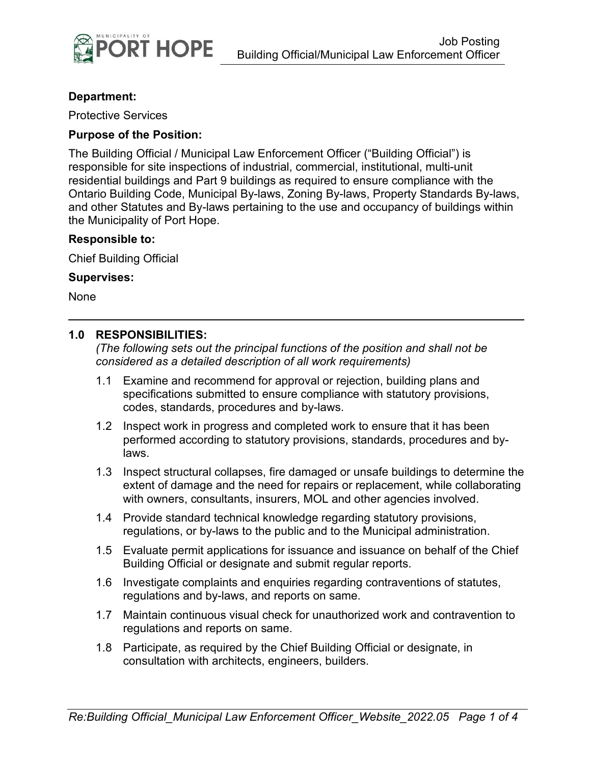

#### **Department:**

Protective Services

#### **Purpose of the Position:**

The Building Official / Municipal Law Enforcement Officer ("Building Official") is responsible for site inspections of industrial, commercial, institutional, multi-unit residential buildings and Part 9 buildings as required to ensure compliance with the Ontario Building Code, Municipal By-laws, Zoning By-laws, Property Standards By-laws, and other Statutes and By-laws pertaining to the use and occupancy of buildings within the Municipality of Port Hope.

#### **Responsible to:**

Chief Building Official

#### **Supervises:**

None

#### **1.0 RESPONSIBILITIES:**

*(The following sets out the principal functions of the position and shall not be considered as a detailed description of all work requirements)*

- 1.1 Examine and recommend for approval or rejection, building plans and specifications submitted to ensure compliance with statutory provisions, codes, standards, procedures and by-laws.
- 1.2 Inspect work in progress and completed work to ensure that it has been performed according to statutory provisions, standards, procedures and bylaws.
- 1.3 Inspect structural collapses, fire damaged or unsafe buildings to determine the extent of damage and the need for repairs or replacement, while collaborating with owners, consultants, insurers, MOL and other agencies involved.
- 1.4 Provide standard technical knowledge regarding statutory provisions, regulations, or by-laws to the public and to the Municipal administration.
- 1.5 Evaluate permit applications for issuance and issuance on behalf of the Chief Building Official or designate and submit regular reports.
- 1.6 Investigate complaints and enquiries regarding contraventions of statutes, regulations and by-laws, and reports on same.
- 1.7 Maintain continuous visual check for unauthorized work and contravention to regulations and reports on same.
- 1.8 Participate, as required by the Chief Building Official or designate, in consultation with architects, engineers, builders.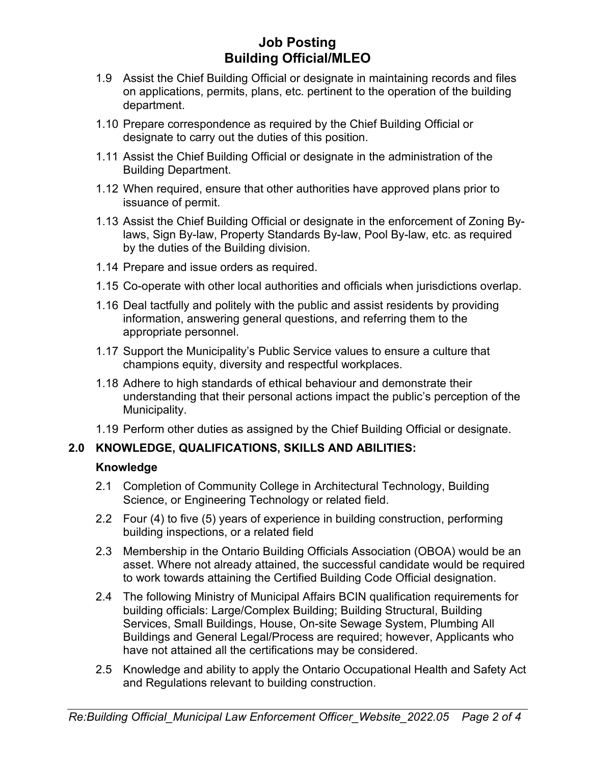# **Job Posting Building Official/MLEO**

- 1.9 Assist the Chief Building Official or designate in maintaining records and files on applications, permits, plans, etc. pertinent to the operation of the building department.
- 1.10 Prepare correspondence as required by the Chief Building Official or designate to carry out the duties of this position.
- 1.11 Assist the Chief Building Official or designate in the administration of the Building Department.
- 1.12 When required, ensure that other authorities have approved plans prior to issuance of permit.
- 1.13 Assist the Chief Building Official or designate in the enforcement of Zoning Bylaws, Sign By-law, Property Standards By-law, Pool By-law, etc. as required by the duties of the Building division.
- 1.14 Prepare and issue orders as required.
- 1.15 Co-operate with other local authorities and officials when jurisdictions overlap.
- 1.16 Deal tactfully and politely with the public and assist residents by providing information, answering general questions, and referring them to the appropriate personnel.
- 1.17 Support the Municipality's Public Service values to ensure a culture that champions equity, diversity and respectful workplaces.
- 1.18 Adhere to high standards of ethical behaviour and demonstrate their understanding that their personal actions impact the public's perception of the Municipality.
- 1.19 Perform other duties as assigned by the Chief Building Official or designate.

# **2.0 KNOWLEDGE, QUALIFICATIONS, SKILLS AND ABILITIES:**

#### **Knowledge**

- 2.1 Completion of Community College in Architectural Technology, Building Science, or Engineering Technology or related field.
- 2.2 Four (4) to five (5) years of experience in building construction, performing building inspections, or a related field
- 2.3 Membership in the Ontario Building Officials Association (OBOA) would be an asset. Where not already attained, the successful candidate would be required to work towards attaining the Certified Building Code Official designation.
- 2.4 The following Ministry of Municipal Affairs BCIN qualification requirements for building officials: Large/Complex Building; Building Structural, Building Services, Small Buildings, House, On-site Sewage System, Plumbing All Buildings and General Legal/Process are required; however, Applicants who have not attained all the certifications may be considered.
- 2.5 Knowledge and ability to apply the Ontario Occupational Health and Safety Act and Regulations relevant to building construction.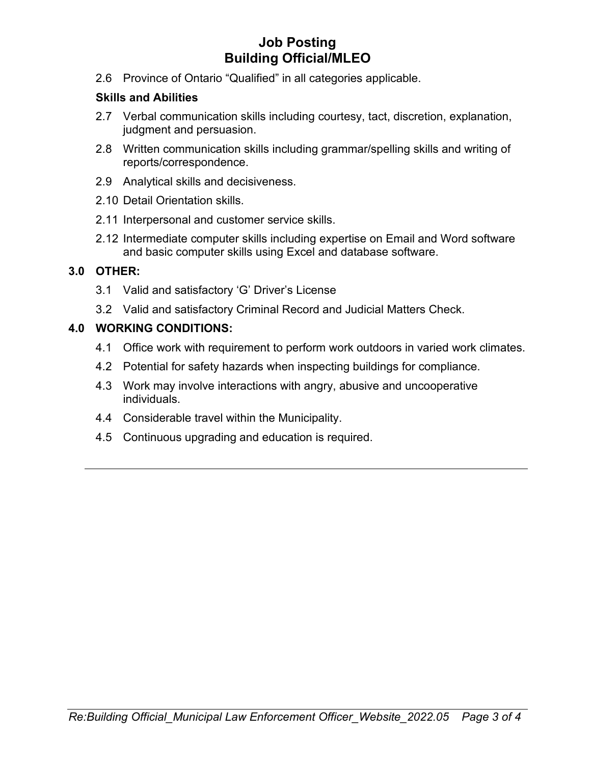# **Job Posting Building Official/MLEO**

2.6 Province of Ontario "Qualified" in all categories applicable.

### **Skills and Abilities**

- 2.7 Verbal communication skills including courtesy, tact, discretion, explanation, judgment and persuasion.
- 2.8 Written communication skills including grammar/spelling skills and writing of reports/correspondence.
- 2.9 Analytical skills and decisiveness.
- 2.10 Detail Orientation skills.
- 2.11 Interpersonal and customer service skills.
- 2.12 Intermediate computer skills including expertise on Email and Word software and basic computer skills using Excel and database software.

### **3.0 OTHER:**

- 3.1 Valid and satisfactory 'G' Driver's License
- 3.2 Valid and satisfactory Criminal Record and Judicial Matters Check.

## **4.0 WORKING CONDITIONS:**

- 4.1 Office work with requirement to perform work outdoors in varied work climates.
- 4.2 Potential for safety hazards when inspecting buildings for compliance.
- 4.3 Work may involve interactions with angry, abusive and uncooperative individuals.
- 4.4 Considerable travel within the Municipality.
- 4.5 Continuous upgrading and education is required.